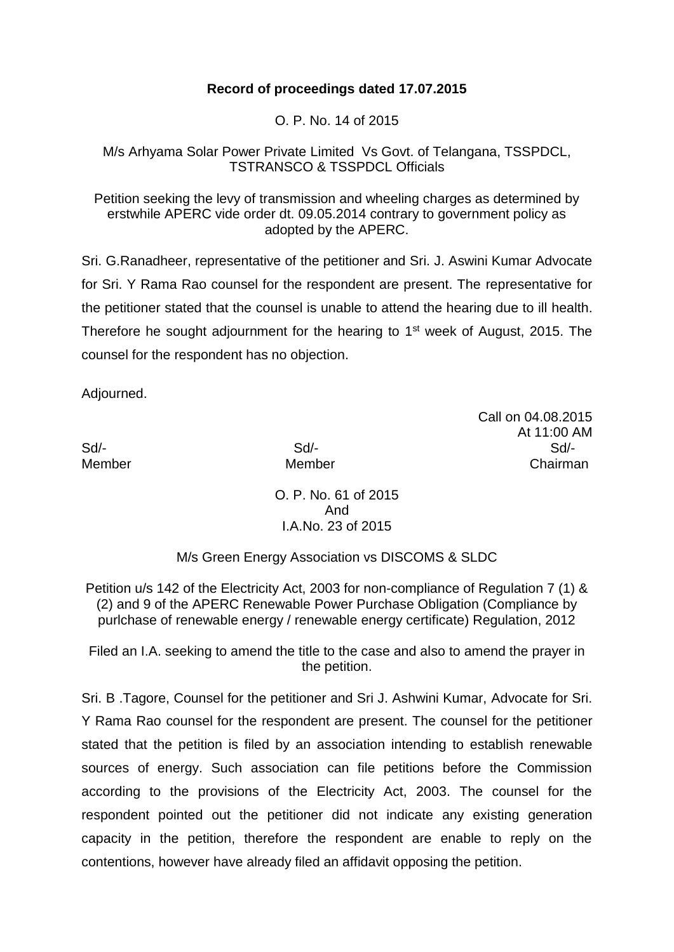## **Record of proceedings dated 17.07.2015**

O. P. No. 14 of 2015

M/s Arhyama Solar Power Private Limited Vs Govt. of Telangana, TSSPDCL, TSTRANSCO & TSSPDCL Officials

Petition seeking the levy of transmission and wheeling charges as determined by erstwhile APERC vide order dt. 09.05.2014 contrary to government policy as adopted by the APERC.

Sri. G.Ranadheer, representative of the petitioner and Sri. J. Aswini Kumar Advocate for Sri. Y Rama Rao counsel for the respondent are present. The representative for the petitioner stated that the counsel is unable to attend the hearing due to ill health. Therefore he sought adjournment for the hearing to 1<sup>st</sup> week of August, 2015. The counsel for the respondent has no objection.

Adjourned.

Call on 04.08.2015 At 11:00 AM Sd/- Sd/- Sd/- Member Member Chairman

> O. P. No. 61 of 2015 And I.A.No. 23 of 2015

M/s Green Energy Association vs DISCOMS & SLDC

Petition u/s 142 of the Electricity Act, 2003 for non-compliance of Regulation 7 (1) & (2) and 9 of the APERC Renewable Power Purchase Obligation (Compliance by purlchase of renewable energy / renewable energy certificate) Regulation, 2012

Filed an I.A. seeking to amend the title to the case and also to amend the prayer in the petition.

Sri. B .Tagore, Counsel for the petitioner and Sri J. Ashwini Kumar, Advocate for Sri. Y Rama Rao counsel for the respondent are present. The counsel for the petitioner stated that the petition is filed by an association intending to establish renewable sources of energy. Such association can file petitions before the Commission according to the provisions of the Electricity Act, 2003. The counsel for the respondent pointed out the petitioner did not indicate any existing generation capacity in the petition, therefore the respondent are enable to reply on the contentions, however have already filed an affidavit opposing the petition.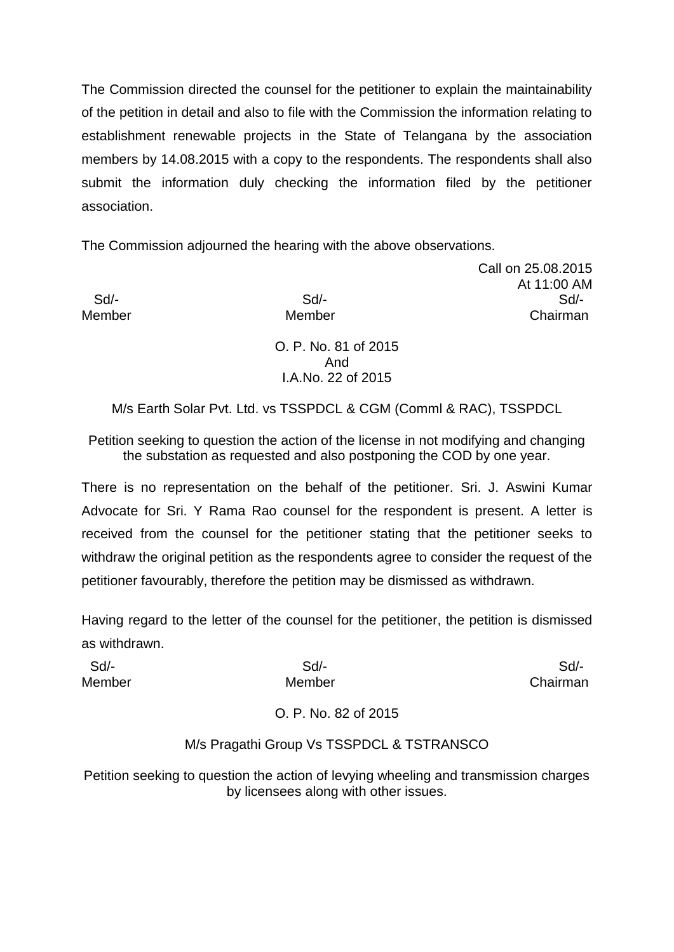The Commission directed the counsel for the petitioner to explain the maintainability of the petition in detail and also to file with the Commission the information relating to establishment renewable projects in the State of Telangana by the association members by 14.08.2015 with a copy to the respondents. The respondents shall also submit the information duly checking the information filed by the petitioner association.

The Commission adjourned the hearing with the above observations.

Call on 25.08.2015 At 11:00 AM Sd/- Sd/- Sd/- Member Member Chairman

> O. P. No. 81 of 2015 And I.A.No. 22 of 2015

M/s Earth Solar Pvt. Ltd. vs TSSPDCL & CGM (Comml & RAC), TSSPDCL

Petition seeking to question the action of the license in not modifying and changing the substation as requested and also postponing the COD by one year.

There is no representation on the behalf of the petitioner. Sri. J. Aswini Kumar Advocate for Sri. Y Rama Rao counsel for the respondent is present. A letter is received from the counsel for the petitioner stating that the petitioner seeks to withdraw the original petition as the respondents agree to consider the request of the petitioner favourably, therefore the petition may be dismissed as withdrawn.

Having regard to the letter of the counsel for the petitioner, the petition is dismissed as withdrawn.

Sd/- Sd/- Sd/- Member Member Chairman

## O. P. No. 82 of 2015

## M/s Pragathi Group Vs TSSPDCL & TSTRANSCO

Petition seeking to question the action of levying wheeling and transmission charges by licensees along with other issues.